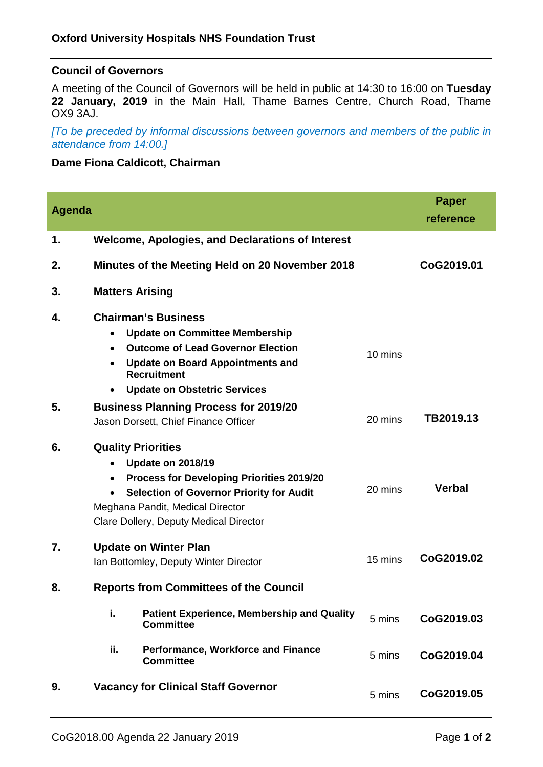### **Council of Governors**

A meeting of the Council of Governors will be held in public at 14:30 to 16:00 on **Tuesday 22 January, 2019** in the Main Hall, Thame Barnes Centre, Church Road, Thame OX9 3AJ.

*[To be preceded by informal discussions between governors and members of the public in attendance from 14:00.]*

### **Dame Fiona Caldicott, Chairman**

| <b>Agenda</b> |                                                                                                                                                                                                                                                                      |         | <b>Paper</b><br>reference |
|---------------|----------------------------------------------------------------------------------------------------------------------------------------------------------------------------------------------------------------------------------------------------------------------|---------|---------------------------|
| 1.            | <b>Welcome, Apologies, and Declarations of Interest</b>                                                                                                                                                                                                              |         |                           |
| 2.            | Minutes of the Meeting Held on 20 November 2018                                                                                                                                                                                                                      |         | CoG2019.01                |
| 3.            | <b>Matters Arising</b>                                                                                                                                                                                                                                               |         |                           |
| 4.            | <b>Chairman's Business</b><br><b>Update on Committee Membership</b><br>$\bullet$<br><b>Outcome of Lead Governor Election</b><br>$\bullet$<br><b>Update on Board Appointments and</b><br>٠<br><b>Recruitment</b><br><b>Update on Obstetric Services</b><br>$\bullet$  | 10 mins |                           |
| 5.            | <b>Business Planning Process for 2019/20</b><br>Jason Dorsett, Chief Finance Officer                                                                                                                                                                                 | 20 mins | TB2019.13                 |
| 6.            | <b>Quality Priorities</b><br><b>Update on 2018/19</b><br>$\bullet$<br><b>Process for Developing Priorities 2019/20</b><br>$\bullet$<br><b>Selection of Governor Priority for Audit</b><br>Meghana Pandit, Medical Director<br>Clare Dollery, Deputy Medical Director | 20 mins | <b>Verbal</b>             |
| 7.            | <b>Update on Winter Plan</b><br>Ian Bottomley, Deputy Winter Director                                                                                                                                                                                                | 15 mins | CoG2019.02                |
| 8.            | <b>Reports from Committees of the Council</b>                                                                                                                                                                                                                        |         |                           |
|               | i.<br><b>Patient Experience, Membership and Quality</b><br><b>Committee</b>                                                                                                                                                                                          | 5 mins  | CoG2019.03                |
|               | ii.<br><b>Performance, Workforce and Finance</b><br><b>Committee</b>                                                                                                                                                                                                 | 5 mins  | CoG2019.04                |
| 9.            | <b>Vacancy for Clinical Staff Governor</b>                                                                                                                                                                                                                           | 5 mins  | CoG2019.05                |